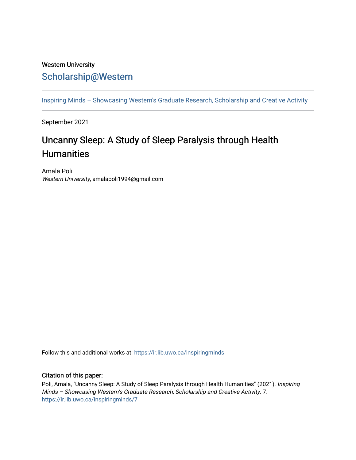### Western University [Scholarship@Western](https://ir.lib.uwo.ca/)

[Inspiring Minds – Showcasing Western's Graduate Research, Scholarship and Creative Activity](https://ir.lib.uwo.ca/inspiringminds) 

September 2021

# Uncanny Sleep: A Study of Sleep Paralysis through Health **Humanities**

Amala Poli Western University, amalapoli1994@gmail.com

Follow this and additional works at: [https://ir.lib.uwo.ca/inspiringminds](https://ir.lib.uwo.ca/inspiringminds?utm_source=ir.lib.uwo.ca%2Finspiringminds%2F7&utm_medium=PDF&utm_campaign=PDFCoverPages) 

#### Citation of this paper:

Poli, Amala, "Uncanny Sleep: A Study of Sleep Paralysis through Health Humanities" (2021). Inspiring Minds – Showcasing Western's Graduate Research, Scholarship and Creative Activity. 7. [https://ir.lib.uwo.ca/inspiringminds/7](https://ir.lib.uwo.ca/inspiringminds/7?utm_source=ir.lib.uwo.ca%2Finspiringminds%2F7&utm_medium=PDF&utm_campaign=PDFCoverPages)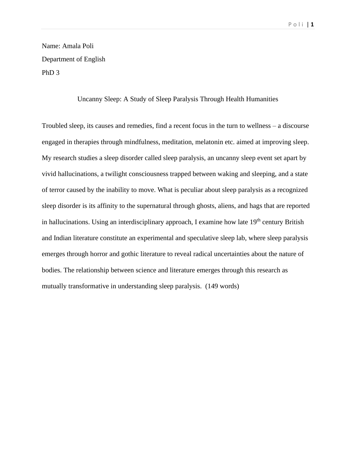## Name: Amala Poli Department of English PhD 3

#### Uncanny Sleep: A Study of Sleep Paralysis Through Health Humanities

Troubled sleep, its causes and remedies, find a recent focus in the turn to wellness – a discourse engaged in therapies through mindfulness, meditation, melatonin etc. aimed at improving sleep. My research studies a sleep disorder called sleep paralysis, an uncanny sleep event set apart by vivid hallucinations, a twilight consciousness trapped between waking and sleeping, and a state of terror caused by the inability to move. What is peculiar about sleep paralysis as a recognized sleep disorder is its affinity to the supernatural through ghosts, aliens, and hags that are reported in hallucinations. Using an interdisciplinary approach, I examine how late  $19<sup>th</sup>$  century British and Indian literature constitute an experimental and speculative sleep lab, where sleep paralysis emerges through horror and gothic literature to reveal radical uncertainties about the nature of bodies. The relationship between science and literature emerges through this research as mutually transformative in understanding sleep paralysis. (149 words)